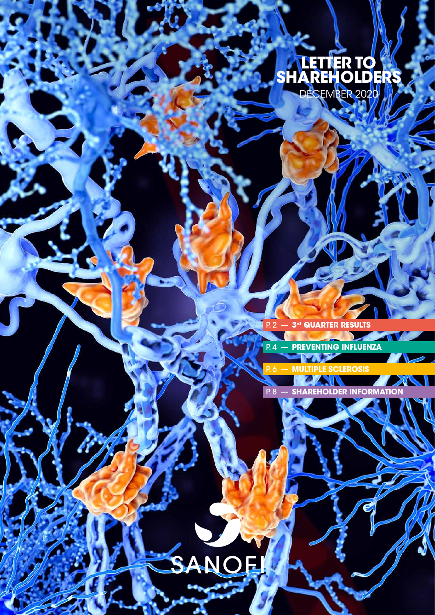## **LETTER TO SHAREHOLDERS** DECEMBER 2020

P. 2 — **[3rd QUARTER RESULTS](#page-1-0)**

P. 4 — **[PREVENTING INFLUENZA](#page-3-0)**

P. 6 — **[MULTIPLE SCLEROSIS](#page-5-0)**

**P.8 — SHAREHOLDER INFORMAT** 

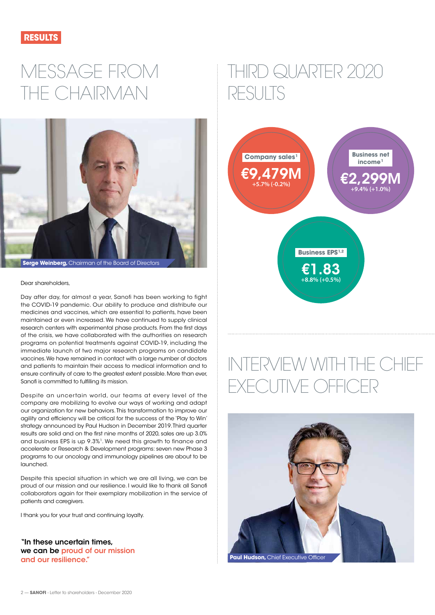<span id="page-1-0"></span>

# MESSAGE FROM THE CHAIRMAN



Dear shareholders,

Day after day, for almost a year, Sanofi has been working to fight the COVID-19 pandemic. Our ability to produce and distribute our medicines and vaccines, which are essential to patients, have been maintained or even increased. We have continued to supply clinical research centers with experimental phase products. From the first days of the crisis, we have collaborated with the authorities on research programs on potential treatments against COVID-19, including the immediate launch of two major research programs on candidate vaccines. We have remained in contact with a large number of doctors and patients to maintain their access to medical information and to ensure continuity of care to the greatest extent possible. More than ever, Sanofi is committed to fulfilling its mission.

Despite an uncertain world, our teams at every level of the company are mobilizing to evolve our ways of working and adapt our organization for new behaviors. This transformation to improve our agility and efficiency will be critical for the success of the 'Play to Win' strategy announced by Paul Hudson in December 2019. Third quarter results are solid and on the first nine months of 2020, sales are up 3.0% and business EPS is up 9.3%1. We need this growth to finance and accelerate or Research & Development programs: seven new Phase 3 programs to our oncology and immunology pipelines are about to be launched.

Despite this special situation in which we are all living, we can be proud of our mission and our resilience. I would like to thank all Sanofi collaborators again for their exemplary mobilization in the service of patients and caregivers.

I thank you for your trust and continuing loyalty.

"In these uncertain times, we can be proud of our mission and our resilience."

# THIRD QUARTER 2020 RESULTS



# INTERVIEW WITH THE CHIEF EXECUTIVE OFFICER

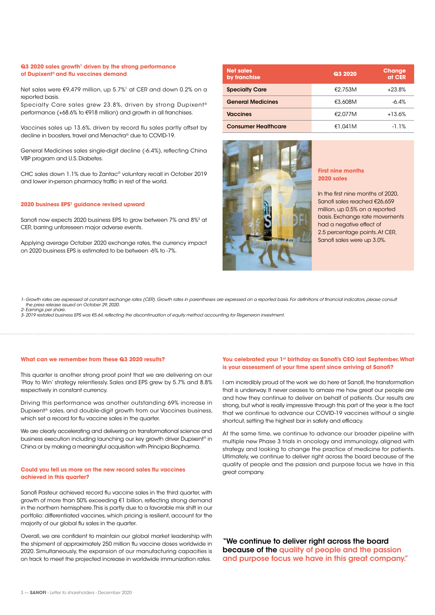#### **Q3 2020 sales growth<sup>1</sup> driven by the strong performance of Dupixent® and flu vaccines demand**

Net sales were €9,479 million, up 5.7%<sup>1</sup> at CER and down 0.2% on a reported basis. Specialty Care sales grew 23.8%, driven by strong Dupixent<sup>®</sup>

performance (+68.6% to €918 million) and growth in all franchises.

Vaccines sales up 13.6%, driven by record flu sales partly offset by decline in boosters, travel and Menactra® due to COVID-19.

General Medicines sales single-digit decline (-6.4%), reflecting China VBP program and U.S. Diabetes.

CHC sales down 1.1% due to Zantac® voluntary recall in October 2019 and lower in-person pharmacy traffic in rest of the world.

#### **2020 business EPS1 guidance revised upward**

Sanofi now expects 2020 business EPS to grow between 7% and 8%3 at CER, barring unforeseen major adverse events.

Applying average October 2020 exchange rates, the currency impact on 2020 business EPS is estimated to be between -6% to -7%.

| <b>Net sales</b><br>by franchise | <b>Q3 2020</b> | <b>Change</b><br>at CER |
|----------------------------------|----------------|-------------------------|
| <b>Specialty Care</b>            | €2.753M        | $+23.8%$                |
| <b>General Medicines</b>         | €3,608M        | $-6.4%$                 |
| <b>Vaccines</b>                  | €2.077M        | $+13.6%$                |
| <b>Consumer Healthcare</b>       | €1.041M        | $-1.1%$                 |



#### **First nine months 2020 sales**

In the first nine months of 2020, Sanofi sales reached €26,659 million, up 0.5% on a reported basis. Exchange rate movements had a negative effect of 2.5 percentage points. At CER, Sanofi sales were up 3.0%.

*1- Growth rates are expressed at constant exchange rates (CER). Growth rates in parentheses are expressed on a reported basis. For definitions of financial indicators, please consult the press release issued on October 29, 2020. 2- Earnings per share.*

*3- 2019 restated business EPS was €5.64, reflecting the discontinuation of equity method accounting for Regeneron investment.*

#### **What can we remember from these Q3 2020 results?**

This quarter is another strong proof point that we are delivering on our 'Play to Win' strategy relentlessly. Sales and EPS grew by 5.7% and 8.8% respectively in constant currency.

Driving this performance was another outstanding 69% increase in Dupixent® sales, and double-digit growth from our Vaccines business, which set a record for flu vaccine sales in the quarter.

We are clearly accelerating and delivering on transformational science and business execution including launching our key growth driver Dupixent® in China or by making a meaningful acquisition with Principia Biopharma.

#### **Could you tell us more on the new record sales flu vaccines achieved in this quarter?**

Sanofi Pasteur achieved record flu vaccine sales in the third quarter, with growth of more than 50% exceeding €1 billion, reflecting strong demand in the northern hemisphere. This is partly due to a favorable mix shift in our portfolio: differentiated vaccines, which pricing is resilient, account for the majority of our global flu sales in the quarter.

Overall, we are confident to maintain our global market leadership with the shipment of approximately 250 million flu vaccine doses worldwide in 2020. Simultaneously, the expansion of our manufacturing capacities is on track to meet the projected increase in worldwide immunization rates.

#### You celebrated your 1<sup>st</sup> birthday as Sanofi's CEO last September. What **is your assessment of your time spent since arriving at Sanofi?**

I am incredibly proud of the work we do here at Sanofi, the transformation that is underway. It never ceases to amaze me how great our people are and how they continue to deliver on behalf of patients. Our results are strong, but what is really impressive through this part of the year is the fact that we continue to advance our COVID-19 vaccines without a single shortcut, setting the highest bar in safety and efficacy.

At the same time, we continue to advance our broader pipeline with multiple new Phase 3 trials in oncology and immunology, aligned with strategy and looking to change the practice of medicine for patients. Ultimately, we continue to deliver right across the board because of the quality of people and the passion and purpose focus we have in this great company.

"We continue to deliver right across the board because of the quality of people and the passion and purpose focus we have in this great company."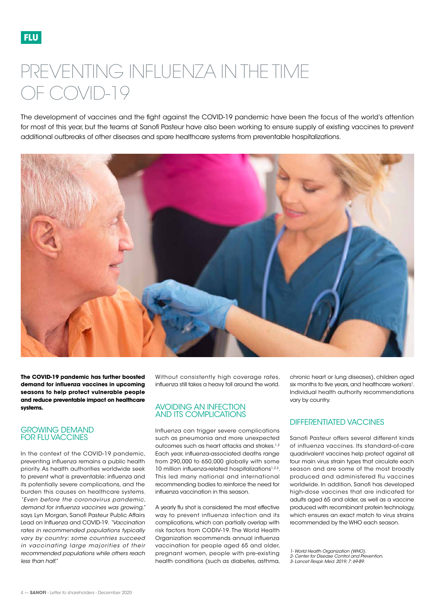# <span id="page-3-0"></span>PREVENTING INFLUENZA IN THE TIME OF COVID-19

The development of vaccines and the fight against the COVID-19 pandemic have been the focus of the world's attention for most of this year, but the teams at Sanofi Pasteur have also been working to ensure supply of existing vaccines to prevent additional outbreaks of other diseases and spare healthcare systems from preventable hospitalizations.



**The COVID-19 pandemic has further boosted demand for influenza vaccines in upcoming seasons to help protect vulnerable people and reduce preventable impact on healthcare systems.**

#### GROWING DEMAND FOR FLU VACCINES

In the context of the COVID-19 pandemic, preventing influenza remains a public health priority. As health authorities worldwide seek to prevent what is preventable: influenza and its potentially severe complications, and the burden this causes on healthcare systems. *"Even before the coronavirus pandemic, demand for influenza vaccines was growing,"*  says Lyn Morgan, Sanofi Pasteur Public Affairs Lead on Influenza and COVID-19. *"Vaccination rates in recommended populations typically vary by country: some countries succeed in vaccinating large majorities of their recommended populations while others reach less than half."* 

Without consistently high coverage rates, influenza still takes a heavy toll around the world.

#### AVOIDING AN INFECTION AND ITS COMPLICATIONS

Influenza can trigger severe complications such as pneumonia and more unexpected outcomes such as heart attacks and strokes.<sup>1,2</sup> Each year, influenza-associated deaths range from 290,000 to 650,000 globally with some 10 million influenza-related hospitalizations<sup>1,2,3</sup>. This led many national and international recommending bodies to reinforce the need for influenza vaccination in this season.

A yearly flu shot is considered the most effective way to prevent influenza infection and its complications, which can partially overlap with risk factors from CODIV-19. The World Health Organization recommends annual influenza vaccination for people aged 65 and older, pregnant women, people with pre-existing health conditions (such as diabetes, asthma, chronic heart or lung diseases), children aged six months to five years, and healthcare workers<sup>1</sup>. Individual health authority recommendations vary by country.

### DIFFERENTIATED VACCINES

Sanofi Pasteur offers several different kinds of influenza vaccines. Its standard-of-care quadrivalent vaccines help protect against all four main virus strain types that circulate each season and are some of the most broadly produced and administered flu vaccines worldwide. In addition, Sanofi has developed high-dose vaccines that are indicated for adults aged 65 and older, as well as a vaccine produced with recombinant protein technology, which ensures an exact match to virus strains recommended by the WHO each season.

*<sup>1-</sup> World Health Organization (WHO).*

*<sup>2-</sup> Center for Disease Control and Prevention.* 

*<sup>3-</sup> Lancet Respir. Med. 2019; 7: 69-89.*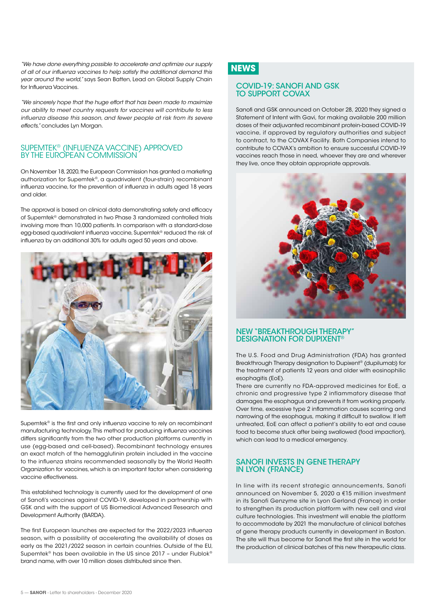*"We have done everything possible to accelerate and optimize our supply of all of our influenza vaccines to help satisfy the additional demand this year around the world,"* says Sean Batten, Lead on Global Supply Chain for Influenza Vaccines.

*"We sincerely hope that the huge effort that has been made to maximize our ability to meet country requests for vaccines will contribute to less influenza disease this season, and fewer people at risk from its severe effects,"* concludes Lyn Morgan.

## SUPEMTEK® (INFLUENZA VACCINE) APPROVED BY THE EUROPEAN COMMISSION

On November 18, 2020, the European Commission has granted a marketing authorization for Supemtek®, a quadrivalent (four-strain) recombinant influenza vaccine, for the prevention of influenza in adults aged 18 years and older.

The approval is based on clinical data demonstrating safety and efficacy of Supemtek® demonstrated in two Phase 3 randomized controlled trials involving more than 10,000 patients. In comparison with a standard-dose egg-based quadrivalent influenza vaccine, Supemtek® reduced the risk of influenza by an additional 30% for adults aged 50 years and above.



Supemtek® is the first and only influenza vaccine to rely on recombinant manufacturing technology. This method for producing influenza vaccines differs significantly from the two other production platforms currently in use (egg-based and cell-based). Recombinant technology ensures an exact match of the hemagglutinin protein included in the vaccine to the influenza strains recommended seasonally by the World Health Organization for vaccines, which is an important factor when considering vaccine effectiveness.

This established technology is currently used for the development of one of Sanofi's vaccines against COVID-19, developed in partnership with GSK and with the support of US Biomedical Advanced Research and Development Authority (BARDA).

The first European launches are expected for the 2022/2023 influenza season, with a possibility of accelerating the availability of doses as early as the 2021/2022 season in certain countries. Outside of the EU, Supemtek® has been available in the US since 2017 – under Flublok® brand name, with over 10 million doses distributed since then.

## **NEWS**

#### COVID-19: SANOFI AND GSK TO SUPPORT COVAX

Sanofi and GSK announced on October 28, 2020 they signed a Statement of Intent with Gavi, for making available 200 million doses of their adjuvanted recombinant protein-based COVID-19 vaccine, if approved by regulatory authorities and subject to contract, to the COVAX Facility. Both Companies intend to contribute to COVAX's ambition to ensure successful COVID-19 vaccines reach those in need, whoever they are and wherever they live, once they obtain appropriate approvals.



#### NEW "BREAKTHROUGH THERAPY" DESIGNATION FOR DUPIXENT®

The U.S. Food and Drug Administration (FDA) has granted Breakthrough Therapy designation to Dupixent® (dupilumab) for the treatment of patients 12 years and older with eosinophilic esophagitis (EoE).

There are currently no FDA-approved medicines for EoE, a chronic and progressive type 2 inflammatory disease that damages the esophagus and prevents it from working properly. Over time, excessive type 2 inflammation causes scarring and narrowing of the esophagus, making it difficult to swallow. If left untreated, EoE can affect a patient's ability to eat and cause food to become stuck after being swallowed (food impaction), which can lead to a medical emergency.

#### SANOFI INVESTS IN GENE THERAPY IN LYON (FRANCE)

In line with its recent strategic announcements, Sanofi announced on November 5, 2020 a €15 million investment in its Sanofi Genzyme site in Lyon Gerland (France) in order to strengthen its production platform with new cell and viral culture technologies. This investment will enable the platform to accommodate by 2021 the manufacture of clinical batches of gene therapy products currently in development in Boston. The site will thus become for Sanofi the first site in the world for the production of clinical batches of this new therapeutic class.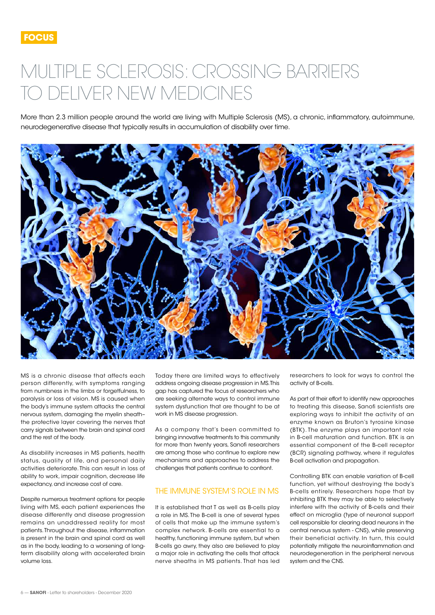# <span id="page-5-0"></span>MULTIPLE SCLEROSIS: CROSSING BARRIERS TO DELIVER NEW MEDICINES

More than 2.3 million people around the world are living with Multiple Sclerosis (MS), a chronic, inflammatory, autoimmune, neurodegenerative disease that typically results in accumulation of disability over time.



MS is a chronic disease that affects each person differently, with symptoms ranging from numbness in the limbs or forgetfulness, to paralysis or loss of vision. MS is caused when the body's immune system attacks the central nervous system, damaging the myelin sheath– the protective layer covering the nerves that carry signals between the brain and spinal cord and the rest of the body.

As disability increases in MS patients, health status, quality of life, and personal daily activities deteriorate. This can result in loss of ability to work, impair cognition, decrease life expectancy, and increase cost of care.

Despite numerous treatment options for people living with MS, each patient experiences the disease differently and disease progression remains an unaddressed reality for most patients. Throughout the disease, inflammation is present in the brain and spinal cord as well as in the body, leading to a worsening of longterm disability along with accelerated brain volume loss.

Today there are limited ways to effectively address ongoing disease progression in MS. This gap has captured the focus of researchers who are seeking alternate ways to control immune system dysfunction that are thought to be at work in MS disease progression.

As a company that's been committed to bringing innovative treatments to this community for more than twenty years, Sanofi researchers are among those who continue to explore new mechanisms and approaches to address the challenges that patients continue to confront.

### THE IMMUNE SYSTEM'S ROLE IN MS

It is established that T as well as B-cells play a role in MS. The B-cell is one of several types of cells that make up the immune system's complex network. B-cells are essential to a healthy, functioning immune system, but when B-cells go awry, they also are believed to play a major role in activating the cells that attack nerve sheaths in MS patients. That has led

researchers to look for ways to control the activity of B-cells.

As part of their effort to identify new approaches to treating this disease, Sanofi scientists are exploring ways to inhibit the activity of an enzyme known as Bruton's tyrosine kinase (BTK). The enzyme plays an important role in B-cell maturation and function. BTK is an essential component of the B-cell receptor (BCR) signaling pathway, where it regulates B-cell activation and propagation.

Controlling BTK can enable variation of B-cell function, yet without destroying the body's B-cells entirely. Researchers hope that by inhibiting BTK they may be able to selectively interfere with the activity of B-cells and their effect on microglia (type of neuronal support cell responsible for clearing dead neurons in the central nervous system - CNS), while preserving their beneficial activity. In turn, this could potentially mitigate the neuroinflammation and neurodegeneration in the peripheral nervous system and the CNS.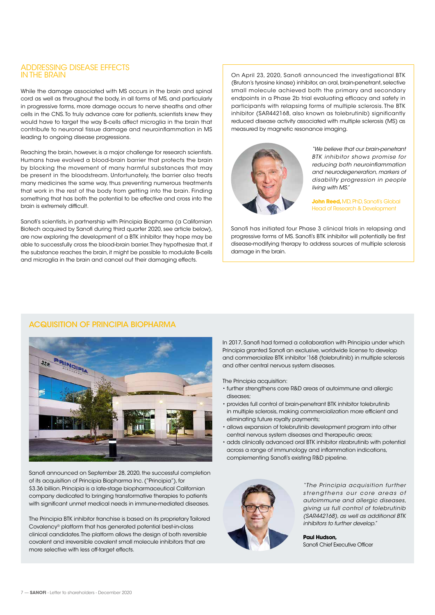#### ADDRESSING DISEASE EFFECTS IN THE BRAIN

While the damage associated with MS occurs in the brain and spinal cord as well as throughout the body, in all forms of MS, and particularly in progressive forms, more damage occurs to nerve sheaths and other cells in the CNS. To truly advance care for patients, scientists knew they would have to target the way B-cells affect microglia in the brain that contribute to neuronal tissue damage and neuroinflammation in MS leading to ongoing disease progressions.

Reaching the brain, however, is a major challenge for research scientists. Humans have evolved a blood-brain barrier that protects the brain by blocking the movement of many harmful substances that may be present in the bloodstream. Unfortunately, the barrier also treats many medicines the same way, thus preventing numerous treatments that work in the rest of the body from getting into the brain. Finding something that has both the potential to be effective and cross into the brain is extremely difficult.

Sanofi's scientists, in partnership with Principia Biopharma (a Californian Biotech acquired by Sanofi during third quarter 2020, see article below), are now exploring the development of a BTK inhibitor they hope may be able to successfully cross the blood-brain barrier. They hypothesize that, if the substance reaches the brain, it might be possible to modulate B-cells and microglia in the brain and cancel out their damaging effects.

On April 23, 2020, Sanofi announced the investigational BTK (Bruton's tyrosine kinase) inhibitor, an oral, brain-penetrant, selective small molecule achieved both the primary and secondary endpoints in a Phase 2b trial evaluating efficacy and safety in participants with relapsing forms of multiple sclerosis. The BTK inhibitor (SAR442168, also known as tolebrutinib) significantly reduced disease activity associated with multiple sclerosis (MS) as measured by magnetic resonance imaging.



*"We believe that our brain-penetrant BTK inhibitor shows promise for reducing both neuroinflammation and neurodegeneration, markers of disability progression in people living with MS."* 

**John Reed,** MD, PhD, Sanofi's Global Head of Research & Development

Sanofi has initiated four Phase 3 clinical trials in relapsing and progressive forms of MS. Sanofi's BTK inhibitor will potentially be first disease-modifying therapy to address sources of multiple sclerosis damage in the brain.

### ACQUISITION OF PRINCIPIA BIOPHARMA



Sanofi announced on September 28, 2020, the successful completion of its acquisition of Principia Biopharma Inc. ("Principia"), for \$3.36 billion. Principia is a late-stage biopharmaceutical Californian company dedicated to bringing transformative therapies to patients with significant unmet medical needs in immune-mediated diseases.

The Principia BTK inhibitor franchise is based on its proprietary Tailored Covalency® platform that has generated potential best-in-class clinical candidates. The platform allows the design of both reversible covalent and irreversible covalent small molecule inhibitors that are more selective with less off-target effects.

In 2017, Sanofi had formed a collaboration with Principia under which Principia granted Sanofi an exclusive, worldwide license to develop and commercialize BTK inhibitor '168 (tolebrutinib) in multiple sclerosis and other central nervous system diseases.

The Principia acquisition:

- further strengthens core R&D areas of autoimmune and allergic diseases;
- provides full control of brain-penetrant BTK inhibitor tolebrutinib in multiple sclerosis, making commercialization more efficient and eliminating future royalty payments;
- allows expansion of tolebrutinib development program into other central nervous system diseases and therapeutic areas;
- adds clinically advanced oral BTK inhibitor rilzabrutinib with potential across a range of immunology and inflammation indications, complementing Sanofi's existing R&D pipeline.



*"The Principia acquisition further*  strengthens our core areas of *autoimmune and allergic diseases, giving us full control of tolebrutinib (SAR442168), as well as additional BTK inhibitors to further develop."* 

**Paul Hudson,**  Sanofi Chief Executive Officer